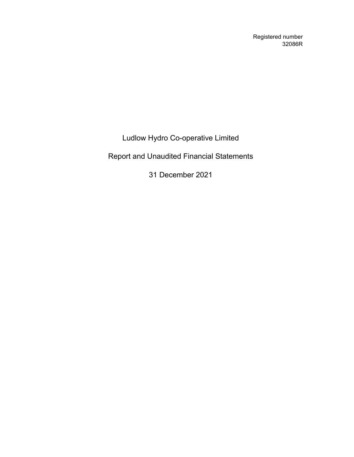Registered number 32086R

Ludlow Hydro Co-operative Limited

Report and Unaudited Financial Statements

31 December 2021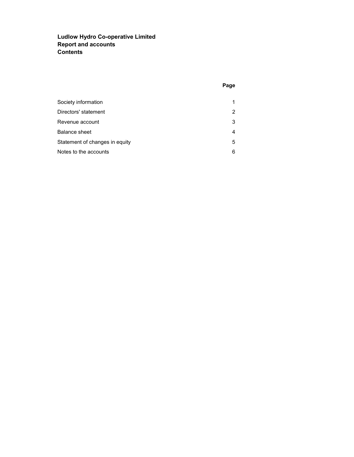# Ludlow Hydro Co-operative Limited Report and accounts **Contents**

| Society information            |   |
|--------------------------------|---|
| Directors' statement           | 2 |
| Revenue account                | 3 |
| Balance sheet                  | 4 |
| Statement of changes in equity | 5 |
| Notes to the accounts          | 6 |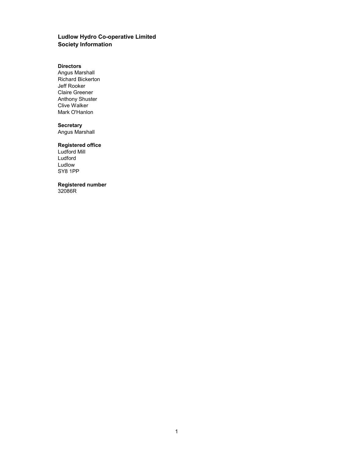# Ludlow Hydro Co-operative Limited Society Information

#### **Directors**

Angus Marshall Richard Bickerton Jeff Rooker Claire Greener Anthony Shuster Clive Walker Mark O'Hanlon

## **Secretary**

Angus Marshall

## Registered office

Ludford Mill Ludford Ludlow SY8 1PP

# Registered number

32086R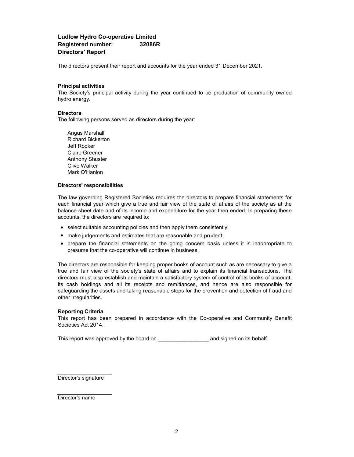## Ludlow Hydro Co-operative Limited Registered number: 32086R Directors' Report

The directors present their report and accounts for the year ended 31 December 2021.

#### Principal activities

The Society's principal activity during the year continued to be production of community owned hydro energy.

#### **Directors**

The following persons served as directors during the year:

Mark O'Hanlon Angus Marshall Clive Walker Richard Bickerton Jeff Rooker Claire Greener Anthony Shuster

#### Directors' responsibilities

The law governing Registered Societies requires the directors to prepare financial statements for each financial year which give a true and fair view of the state of affairs of the society as at the balance sheet date and of its income and expenditure for the year then ended. In preparing these accounts, the directors are required to:

- select suitable accounting policies and then apply them consistently;
- make judgements and estimates that are reasonable and prudent;
- prepare the financial statements on the going concern basis unless it is inappropriate to presume that the co-operative will continue in business.

The directors are responsible for keeping proper books of account such as are necessary to give a true and fair view of the society's state of affairs and to explain its financial transactions. The directors must also establish and maintain a satisfactory system of control of its books of account, its cash holdings and all its receipts and remittances, and hence are also responsible for safeguarding the assets and taking reasonable steps for the prevention and detection of fraud and other irregularities.

#### Reporting Criteria

This report has been prepared in accordance with the Co-operative and Community Benefit Societies Act 2014.

This report was approved by the board on \_\_\_\_\_\_\_\_\_\_\_\_\_\_\_\_\_ and signed on its behalf.

Director's signature

Director's name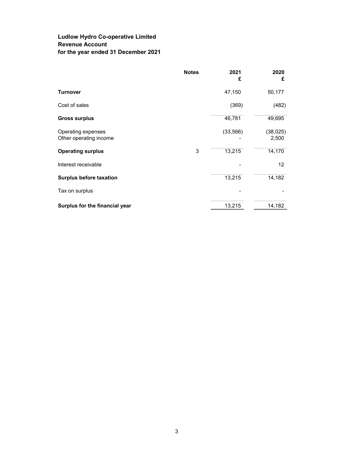# Ludlow Hydro Co-operative Limited Revenue Account for the year ended 31 December 2021

|                                              | <b>Notes</b> | 2021<br>£ | 2020<br>£         |
|----------------------------------------------|--------------|-----------|-------------------|
| <b>Turnover</b>                              |              | 47,150    | 50,177            |
| Cost of sales                                |              | (369)     | (482)             |
| <b>Gross surplus</b>                         |              | 46,781    | 49,695            |
| Operating expenses<br>Other operating income |              | (33, 566) | (38,025)<br>2,500 |
| <b>Operating surplus</b>                     | 3            | 13,215    | 14,170            |
| Interest receivable                          |              |           | 12                |
| <b>Surplus before taxation</b>               |              | 13,215    | 14,182            |
| Tax on surplus                               |              |           |                   |
| Surplus for the financial year               |              | 13,215    | 14,182            |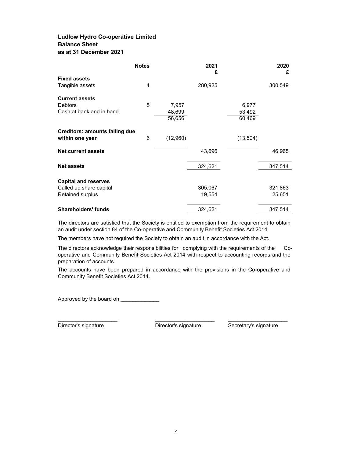# Ludlow Hydro Co-operative Limited Balance Sheet as at 31 December 2021

|                                       | <b>Notes</b> |          | 2021<br>£ |           | 2020<br>£ |
|---------------------------------------|--------------|----------|-----------|-----------|-----------|
| <b>Fixed assets</b>                   |              |          |           |           |           |
| Tangible assets                       | 4            |          | 280,925   |           | 300,549   |
| <b>Current assets</b>                 |              |          |           |           |           |
| <b>Debtors</b>                        | 5            | 7,957    |           | 6,977     |           |
| Cash at bank and in hand              |              | 48,699   |           | 53,492    |           |
|                                       |              | 56,656   |           | 60,469    |           |
| <b>Creditors: amounts falling due</b> |              |          |           |           |           |
| within one year                       | 6            | (12,960) |           | (13, 504) |           |
| <b>Net current assets</b>             |              |          | 43,696    |           | 46,965    |
| <b>Net assets</b>                     |              |          | 324,621   |           | 347,514   |
|                                       |              |          |           |           |           |
| <b>Capital and reserves</b>           |              |          |           |           |           |
| Called up share capital               |              |          | 305,067   |           | 321,863   |
| Retained surplus                      |              |          | 19,554    |           | 25,651    |
| <b>Shareholders' funds</b>            |              |          | 324,621   |           | 347,514   |

The directors are satisfied that the Society is entitled to exemption from the requirement to obtain an audit under section 84 of the Co-operative and Community Benefit Societies Act 2014.

The members have not required the Society to obtain an audit in accordance with the Act.

The directors acknowledge their responsibilities for complying with the requirements of the Cooperative and Community Benefit Societies Act 2014 with respect to accounting records and the preparation of accounts.

The accounts have been prepared in accordance with the provisions in the Co-operative and Community Benefit Societies Act 2014.

Approved by the board on

Director's signature Director's signature Secretary's signature

 $\_$  , and the set of the set of the set of the set of the set of the set of the set of the set of the set of the set of the set of the set of the set of the set of the set of the set of the set of the set of the set of th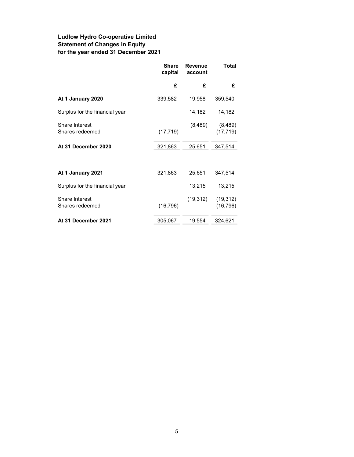# Ludlow Hydro Co-operative Limited Statement of Changes in Equity for the year ended 31 December 2021

|                                   | <b>Share</b><br>capital | <b>Revenue</b><br>account | Total                  |
|-----------------------------------|-------------------------|---------------------------|------------------------|
|                                   | £                       | £                         | £                      |
| At 1 January 2020                 | 339,582                 | 19,958                    | 359,540                |
| Surplus for the financial year    |                         | 14,182                    | 14,182                 |
| Share Interest<br>Shares redeemed | (17, 719)               | (8, 489)                  | (8,489)<br>(17, 719)   |
| At 31 December 2020               | 321,863                 | 25,651                    | 347,514                |
|                                   |                         |                           |                        |
| At 1 January 2021                 | 321,863                 | 25,651                    | 347,514                |
| Surplus for the financial year    |                         | 13,215                    | 13,215                 |
| Share Interest<br>Shares redeemed | (16, 796)               | (19, 312)                 | (19, 312)<br>(16, 796) |
| At 31 December 2021               | 305,067                 | 19,554                    | 324,621                |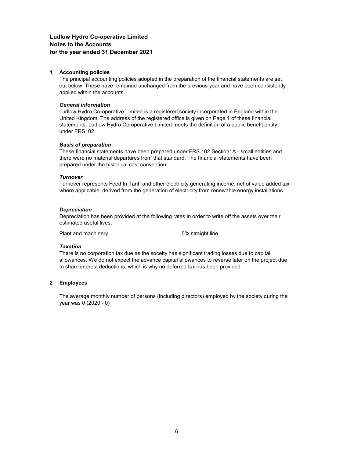# Ludlow Hydro Co-operative Limited Notes to the Accounts for the year ended 31 December 2021

#### 1 Accounting policies

The principal accounting policies adopted in the preparation of the financial statements are set out below. These have remained unchanged from the previous year and have been consistently applied within the accounts.

#### General information

Ludlow Hydro Co-operative Limited is a registered society incorporated in England within the United Kingdom. The address of the registered office is given on Page 1 of these financial statements. Ludlow Hydro Co-operative Limited meets the definition of a public benefit entity under FRS102.

#### Basis of preparation

These financial statements have been prepared under FRS 102 Section1A - small entities and there were no material departures from that standard. The financial statements have been prepared under the historical cost convention.

#### **Turnover**

Turnover represents Feed In Tariff and other electricity generating income, net of value added tax where applicable, derived from the generation of electricity from renewable energy installations.

#### **Depreciation**

Depreciation has been provided at the following rates in order to write off the assets over their estimated useful lives.

Plant and machinery example 5% straight line

#### **Taxation**

There is no corporation tax due as the soceity has significant trading losses due to capital allowances. We do not expect the advance capital allowances to reverse later on the project due to share interest deductions, which is why no deferred tax has been provided.

#### 2 Employees

The average monthly number of persons (including directors) employed by the society during the year was 0 (2020 - 0)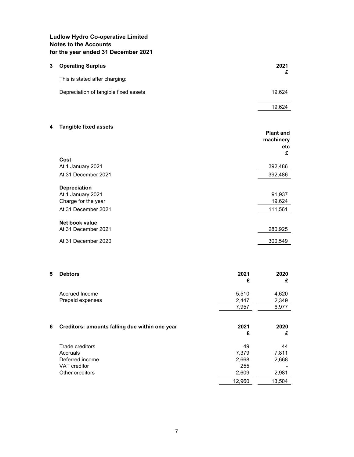# Ludlow Hydro Co-operative Limited Notes to the Accounts for the year ended 31 December 2021

| 3 | <b>Operating Surplus</b>              | 2021   |
|---|---------------------------------------|--------|
|   | This is stated after charging:        |        |
|   | Depreciation of tangible fixed assets | 19.624 |

# 19,624

# 4 Tangible fixed assets

|                     | <b>Plant and</b><br>machinery<br>etc<br>£ |
|---------------------|-------------------------------------------|
| Cost                |                                           |
| At 1 January 2021   | 392,486                                   |
| At 31 December 2021 | 392,486                                   |
| <b>Depreciation</b> |                                           |
| At 1 January 2021   | 91,937                                    |
| Charge for the year | 19,624                                    |
| At 31 December 2021 | 111,561                                   |
| Net book value      |                                           |
| At 31 December 2021 | 280,925                                   |
| At 31 December 2020 | 300,549                                   |

| 5 | <b>Debtors</b>                                 | 2021<br>£ | 2020<br>£ |
|---|------------------------------------------------|-----------|-----------|
|   | Accrued Income                                 | 5,510     | 4,620     |
|   | Prepaid expenses                               | 2,447     | 2,349     |
|   |                                                | 7,957     | 6,977     |
| 6 | Creditors: amounts falling due within one year | 2021<br>£ | 2020<br>£ |
|   | Trade creditors                                | 49        | 44        |
|   | Accruals                                       | 7,379     | 7,811     |
|   | Deferred income                                | 2,668     | 2,668     |
|   | <b>VAT</b> creditor                            | 255       |           |
|   | Other creditors                                | 2,609     | 2,981     |
|   |                                                | 12,960    | 13,504    |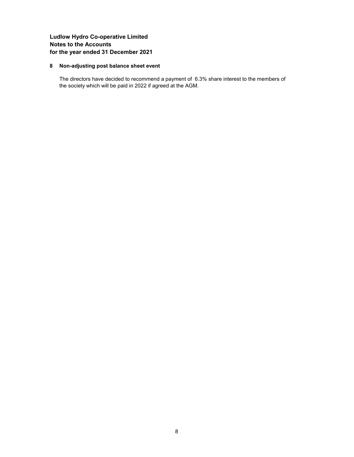# Ludlow Hydro Co-operative Limited Notes to the Accounts for the year ended 31 December 2021

## 8 Non-adjusting post balance sheet event

The directors have decided to recommend a payment of 6.3% share interest to the members of the society which will be paid in 2022 if agreed at the AGM.